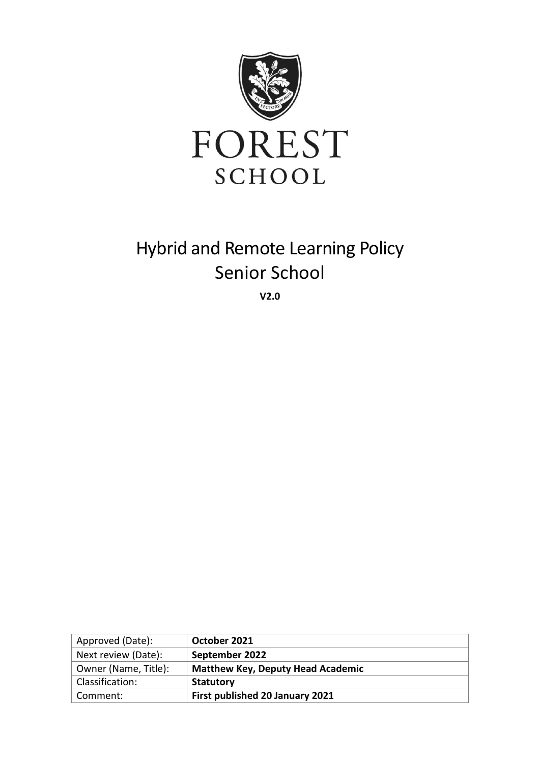

# Hybrid and Remote Learning Policy Senior School

**V2.0**

| Approved (Date):     | October 2021                             |
|----------------------|------------------------------------------|
| Next review (Date):  | September 2022                           |
| Owner (Name, Title): | <b>Matthew Key, Deputy Head Academic</b> |
| Classification:      | Statutory                                |
| Comment:             | <b>First published 20 January 2021</b>   |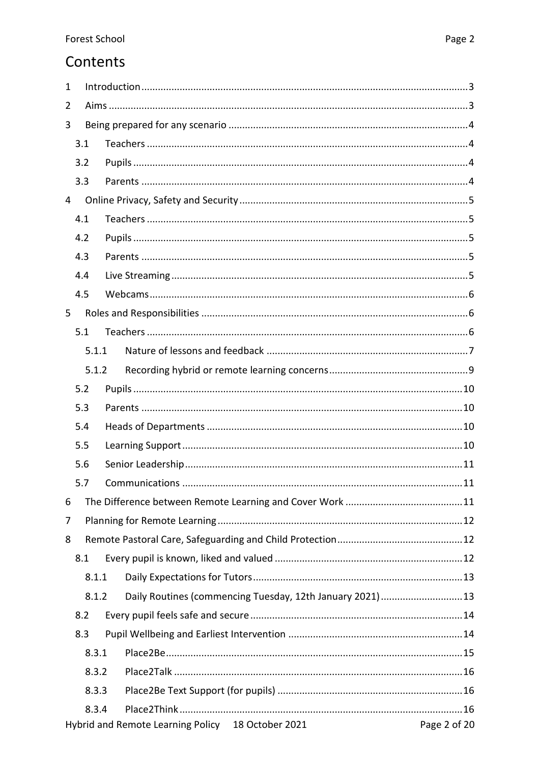# Contents

| $\mathbf{1}$ |       |                                                                                |  |  |  |  |
|--------------|-------|--------------------------------------------------------------------------------|--|--|--|--|
| 2            |       |                                                                                |  |  |  |  |
| 3            |       |                                                                                |  |  |  |  |
|              | 3.1   |                                                                                |  |  |  |  |
|              | 3.2   |                                                                                |  |  |  |  |
|              | 3.3   |                                                                                |  |  |  |  |
| 4            |       |                                                                                |  |  |  |  |
|              | 4.1   |                                                                                |  |  |  |  |
|              | 4.2   |                                                                                |  |  |  |  |
|              | 4.3   |                                                                                |  |  |  |  |
|              | 4.4   |                                                                                |  |  |  |  |
|              | 4.5   |                                                                                |  |  |  |  |
| 5            |       |                                                                                |  |  |  |  |
|              | 5.1   |                                                                                |  |  |  |  |
|              | 5.1.1 |                                                                                |  |  |  |  |
|              | 5.1.2 |                                                                                |  |  |  |  |
|              | 5.2   |                                                                                |  |  |  |  |
|              | 5.3   |                                                                                |  |  |  |  |
|              | 5.4   |                                                                                |  |  |  |  |
|              | 5.5   |                                                                                |  |  |  |  |
|              | 5.6   |                                                                                |  |  |  |  |
|              | 5.7   |                                                                                |  |  |  |  |
| 6            |       |                                                                                |  |  |  |  |
| 7            |       |                                                                                |  |  |  |  |
| 8            |       |                                                                                |  |  |  |  |
|              | 8.1   |                                                                                |  |  |  |  |
|              | 8.1.1 |                                                                                |  |  |  |  |
|              | 8.1.2 | Daily Routines (commencing Tuesday, 12th January 2021) 13                      |  |  |  |  |
|              | 8.2   |                                                                                |  |  |  |  |
|              | 8.3   |                                                                                |  |  |  |  |
|              | 8.3.1 |                                                                                |  |  |  |  |
|              | 8.3.2 |                                                                                |  |  |  |  |
|              | 8.3.3 |                                                                                |  |  |  |  |
|              | 8.3.4 |                                                                                |  |  |  |  |
|              |       | Hybrid and Remote Learning Policy 18 October 2021 http://www.charless.com/2020 |  |  |  |  |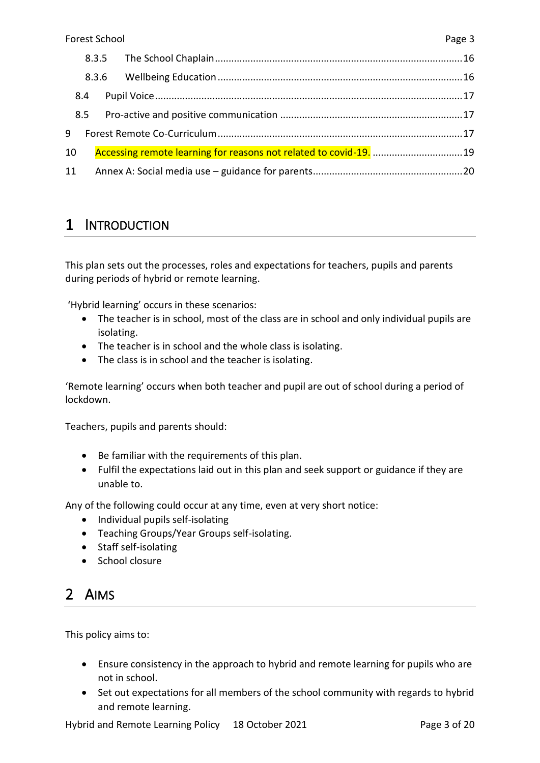|     | 8.3.5 |  |
|-----|-------|--|
|     | 8.3.6 |  |
| 8.4 |       |  |
| 8.5 |       |  |
| 9   |       |  |
| 10  |       |  |
| 11  |       |  |

### <span id="page-2-0"></span>1 INTRODUCTION

This plan sets out the processes, roles and expectations for teachers, pupils and parents during periods of hybrid or remote learning.

'Hybrid learning' occurs in these scenarios:

- The teacher is in school, most of the class are in school and only individual pupils are isolating.
- The teacher is in school and the whole class is isolating.
- The class is in school and the teacher is isolating.

'Remote learning' occurs when both teacher and pupil are out of school during a period of lockdown.

Teachers, pupils and parents should:

- Be familiar with the requirements of this plan.
- Fulfil the expectations laid out in this plan and seek support or guidance if they are unable to.

Any of the following could occur at any time, even at very short notice:

- Individual pupils self-isolating
- Teaching Groups/Year Groups self-isolating.
- Staff self-isolating
- School closure

# <span id="page-2-1"></span>2 AIMS

This policy aims to:

- Ensure consistency in the approach to hybrid and remote learning for pupils who are not in school.
- Set out expectations for all members of the school community with regards to hybrid and remote learning.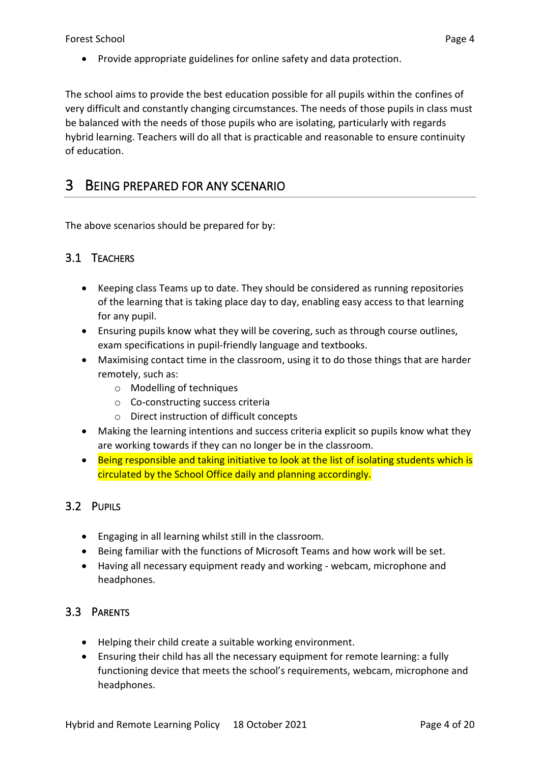• Provide appropriate guidelines for online safety and data protection.

The school aims to provide the best education possible for all pupils within the confines of very difficult and constantly changing circumstances. The needs of those pupils in class must be balanced with the needs of those pupils who are isolating, particularly with regards hybrid learning. Teachers will do all that is practicable and reasonable to ensure continuity of education.

### <span id="page-3-0"></span>3 BEING PREPARED FOR ANY SCENARIO

The above scenarios should be prepared for by:

### <span id="page-3-1"></span>3.1 TEACHERS

- Keeping class Teams up to date. They should be considered as running repositories of the learning that is taking place day to day, enabling easy access to that learning for any pupil.
- Ensuring pupils know what they will be covering, such as through course outlines, exam specifications in pupil-friendly language and textbooks.
- Maximising contact time in the classroom, using it to do those things that are harder remotely, such as:
	- o Modelling of techniques
	- o Co-constructing success criteria
	- o Direct instruction of difficult concepts
- Making the learning intentions and success criteria explicit so pupils know what they are working towards if they can no longer be in the classroom.
- Being responsible and taking initiative to look at the list of isolating students which is circulated by the School Office daily and planning accordingly.

### <span id="page-3-2"></span>3.2 PUPILS

- Engaging in all learning whilst still in the classroom.
- Being familiar with the functions of Microsoft Teams and how work will be set.
- Having all necessary equipment ready and working webcam, microphone and headphones.

### <span id="page-3-3"></span>3.3 PARENTS

- Helping their child create a suitable working environment.
- Ensuring their child has all the necessary equipment for remote learning: a fully functioning device that meets the school's requirements, webcam, microphone and headphones.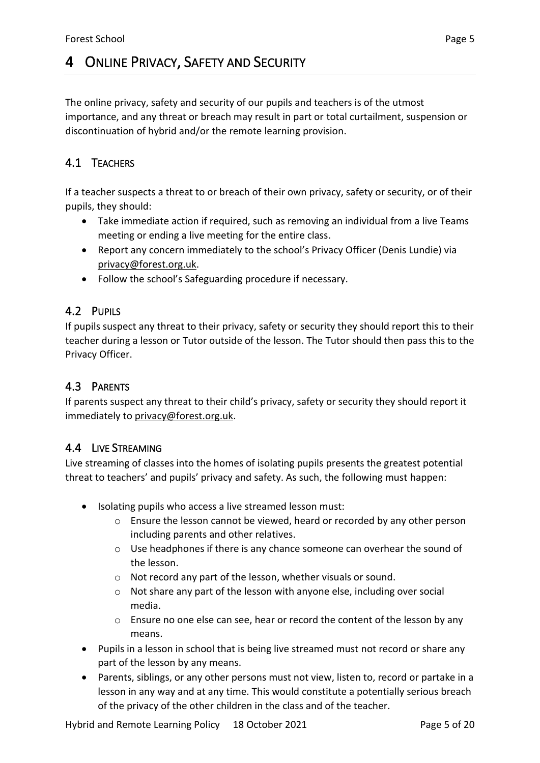# <span id="page-4-0"></span>4 ONLINE PRIVACY, SAFETY AND SECURITY

The online privacy, safety and security of our pupils and teachers is of the utmost importance, and any threat or breach may result in part or total curtailment, suspension or discontinuation of hybrid and/or the remote learning provision.

### <span id="page-4-1"></span>4.1 TEACHERS

If a teacher suspects a threat to or breach of their own privacy, safety or security, or of their pupils, they should:

- Take immediate action if required, such as removing an individual from a live Teams meeting or ending a live meeting for the entire class.
- Report any concern immediately to the school's Privacy Officer (Denis Lundie) via [privacy@forest.org.uk.](mailto:privacy@forest.org.uk)
- Follow the school's Safeguarding procedure if necessary.

### <span id="page-4-2"></span>4.2 PUPILS

If pupils suspect any threat to their privacy, safety or security they should report this to their teacher during a lesson or Tutor outside of the lesson. The Tutor should then pass this to the Privacy Officer.

### <span id="page-4-3"></span>4.3 PARENTS

If parents suspect any threat to their child's privacy, safety or security they should report it immediately to [privacy@forest.org.uk.](mailto:privacy@forest.org.uk)

### <span id="page-4-4"></span>4.4 LIVE STREAMING

Live streaming of classes into the homes of isolating pupils presents the greatest potential threat to teachers' and pupils' privacy and safety. As such, the following must happen:

- Isolating pupils who access a live streamed lesson must:
	- o Ensure the lesson cannot be viewed, heard or recorded by any other person including parents and other relatives.
	- $\circ$  Use headphones if there is any chance someone can overhear the sound of the lesson.
	- o Not record any part of the lesson, whether visuals or sound.
	- o Not share any part of the lesson with anyone else, including over social media.
	- $\circ$  Ensure no one else can see, hear or record the content of the lesson by any means.
- Pupils in a lesson in school that is being live streamed must not record or share any part of the lesson by any means.
- Parents, siblings, or any other persons must not view, listen to, record or partake in a lesson in any way and at any time. This would constitute a potentially serious breach of the privacy of the other children in the class and of the teacher.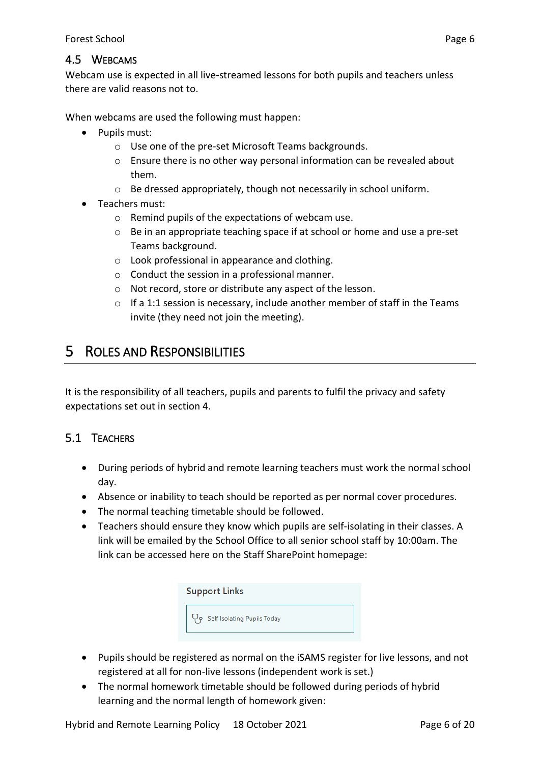### <span id="page-5-0"></span>4.5 WEBCAMS

Webcam use is expected in all live-streamed lessons for both pupils and teachers unless there are valid reasons not to.

When webcams are used the following must happen:

- Pupils must:
	- o Use one of the pre-set Microsoft Teams backgrounds.
	- o Ensure there is no other way personal information can be revealed about them.
	- o Be dressed appropriately, though not necessarily in school uniform.
- Teachers must:
	- o Remind pupils of the expectations of webcam use.
	- o Be in an appropriate teaching space if at school or home and use a pre-set Teams background.
	- o Look professional in appearance and clothing.
	- o Conduct the session in a professional manner.
	- o Not record, store or distribute any aspect of the lesson.
	- o If a 1:1 session is necessary, include another member of staff in the Teams invite (they need not join the meeting).

### <span id="page-5-1"></span>5 ROLES AND RESPONSIBILITIES

It is the responsibility of all teachers, pupils and parents to fulfil the privacy and safety expectations set out in section 4.

### <span id="page-5-2"></span>5.1 TEACHERS

- During periods of hybrid and remote learning teachers must work the normal school day.
- Absence or inability to teach should be reported as per normal cover procedures.
- The normal teaching timetable should be followed.
- Teachers should ensure they know which pupils are self-isolating in their classes. A link will be emailed by the School Office to all senior school staff by 10:00am. The link can be accessed here on the Staff SharePoint homepage:

| <b>Support Links</b>          |  |  |  |
|-------------------------------|--|--|--|
| 9 Self Isolating Pupils Today |  |  |  |

- Pupils should be registered as normal on the iSAMS register for live lessons, and not registered at all for non-live lessons (independent work is set.)
- The normal homework timetable should be followed during periods of hybrid learning and the normal length of homework given: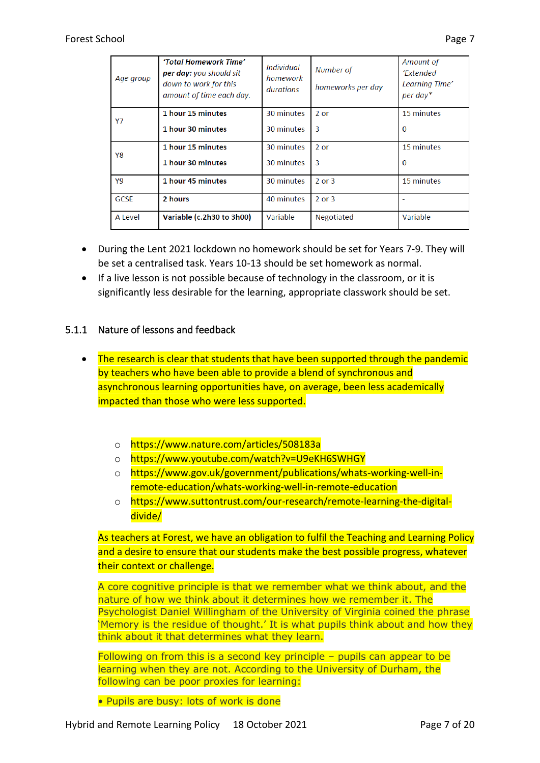| Age group   | 'Total Homework Time'<br>per day: you should sit<br>down to work for this<br>amount of time each day. | <b>Individual</b><br>homework<br>durations | Number of<br>homeworks per day | Amount of<br>'Extended<br>Learning Time'<br>$per$ day* |
|-------------|-------------------------------------------------------------------------------------------------------|--------------------------------------------|--------------------------------|--------------------------------------------------------|
| Y7          | 1 hour 15 minutes<br>1 hour 30 minutes                                                                | 30 minutes<br>30 minutes                   | $2$ or<br>3                    | 15 minutes<br>$\Omega$                                 |
| Y8          | 1 hour 15 minutes<br>1 hour 30 minutes                                                                | 30 minutes<br>30 minutes                   | 2 or<br>3                      | 15 minutes<br>$\Omega$                                 |
| Y9          | 1 hour 45 minutes                                                                                     | 30 minutes                                 | $2$ or $3$                     | 15 minutes                                             |
| <b>GCSE</b> | 2 hours                                                                                               | 40 minutes                                 | $2$ or $3$                     |                                                        |
| A Level     | Variable (c.2h30 to 3h00)                                                                             | Variable                                   | <b>Negotiated</b>              | Variable                                               |

- During the Lent 2021 lockdown no homework should be set for Years 7-9. They will be set a centralised task. Years 10-13 should be set homework as normal.
- If a live lesson is not possible because of technology in the classroom, or it is significantly less desirable for the learning, appropriate classwork should be set.

### <span id="page-6-0"></span>5.1.1 Nature of lessons and feedback

- The research is clear that students that have been supported through the pandemic by teachers who have been able to provide a blend of synchronous and asynchronous learning opportunities have, on average, been less academically impacted than those who were less supported.
	- o https://www.nature.com/articles/508183a
	- o https://www.youtube.com/watch?v=U9eKH6SWHGY
	- o https://www.gov.uk/government/publications/whats-working-well-inremote-education/whats-working-well-in-remote-education
	- o https://www.suttontrust.com/our-research/remote-learning-the-digitaldivide/

As teachers at Forest, we have an obligation to fulfil the Teaching and Learning Policy and a desire to ensure that our students make the best possible progress, whatever their context or challenge.

A core cognitive principle is that we remember what we think about, and the nature of how we think about it determines how we remember it. The Psychologist Daniel Willingham of the University of Virginia coined the phrase 'Memory is the residue of thought.' It is what pupils think about and how they think about it that determines what they learn.

Following on from this is a second key principle – pupils can appear to be learning when they are not. According to the University of Durham, the following can be poor proxies for learning:

• Pupils are busy: lots of work is done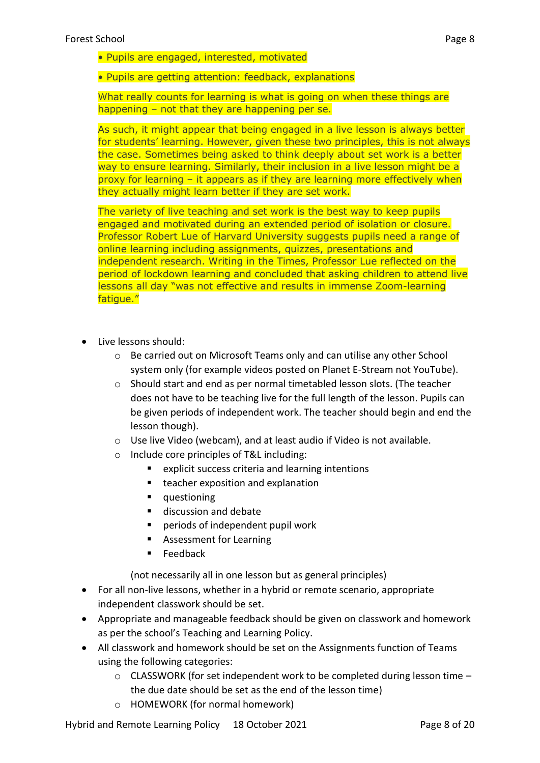• Pupils are engaged, interested, motivated

• Pupils are getting attention: feedback, explanations

What really counts for learning is what is going on when these things are happening – not that they are happening per se.

As such, it might appear that being engaged in a live lesson is always better for students' learning. However, given these two principles, this is not always the case. Sometimes being asked to think deeply about set work is a better way to ensure learning. Similarly, their inclusion in a live lesson might be a proxy for learning – it appears as if they are learning more effectively when they actually might learn better if they are set work.

The variety of live teaching and set work is the best way to keep pupils engaged and motivated during an extended period of isolation or closure. Professor Robert Lue of Harvard University suggests pupils need a range of online learning including assignments, quizzes, presentations and independent research. Writing in the Times, Professor Lue reflected on the period of lockdown learning and concluded that asking children to attend live lessons all day "was not effective and results in immense Zoom-learning fatigue."

- Live lessons should:
	- o Be carried out on Microsoft Teams only and can utilise any other School system only (for example videos posted on Planet E-Stream not YouTube).
	- $\circ$  Should start and end as per normal timetabled lesson slots. (The teacher does not have to be teaching live for the full length of the lesson. Pupils can be given periods of independent work. The teacher should begin and end the lesson though).
	- o Use live Video (webcam), and at least audio if Video is not available.
	- o Include core principles of T&L including:
		- explicit success criteria and learning intentions
		- teacher exposition and explanation
		- questioning
		- discussion and debate
		- periods of independent pupil work
		- Assessment for Learning
		- Feedback

(not necessarily all in one lesson but as general principles)

- For all non-live lessons, whether in a hybrid or remote scenario, appropriate independent classwork should be set.
- Appropriate and manageable feedback should be given on classwork and homework as per the school's Teaching and Learning Policy.
- All classwork and homework should be set on the Assignments function of Teams using the following categories:
	- $\circ$  CLASSWORK (for set independent work to be completed during lesson time  $$ the due date should be set as the end of the lesson time)
	- o HOMEWORK (for normal homework)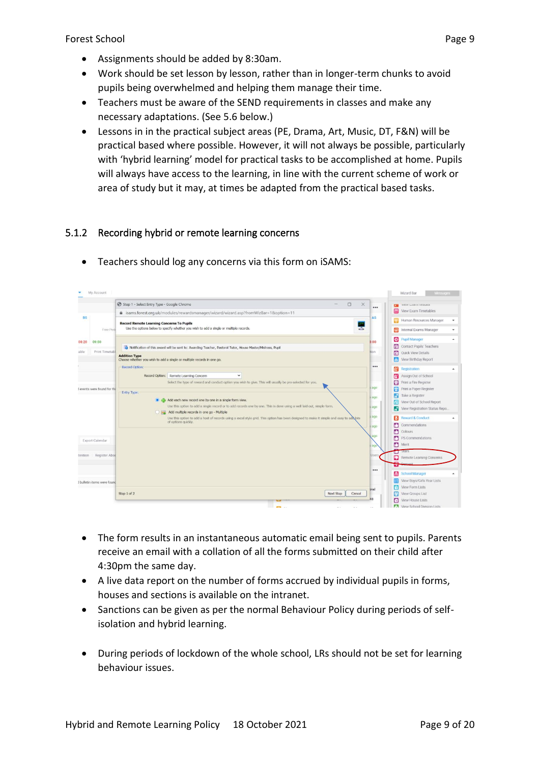- Assignments should be added by 8:30am.
- Work should be set lesson by lesson, rather than in longer-term chunks to avoid pupils being overwhelmed and helping them manage their time.
- Teachers must be aware of the SEND requirements in classes and make any necessary adaptations. (See 5.6 below.)
- Lessons in in the practical subject areas (PE, Drama, Art, Music, DT, F&N) will be practical based where possible. However, it will not always be possible, particularly with 'hybrid learning' model for practical tasks to be accomplished at home. Pupils will always have access to the learning, in line with the current scheme of work or area of study but it may, at times be adapted from the practical based tasks.

### <span id="page-8-0"></span>5.1.2 Recording hybrid or remote learning concerns



• Teachers should log any concerns via this form on iSAMS:

- The form results in an instantaneous automatic email being sent to pupils. Parents receive an email with a collation of all the forms submitted on their child after 4:30pm the same day.
- A live data report on the number of forms accrued by individual pupils in forms, houses and sections is available on the intranet.
- Sanctions can be given as per the normal Behaviour Policy during periods of selfisolation and hybrid learning.
- During periods of lockdown of the whole school, LRs should not be set for learning behaviour issues.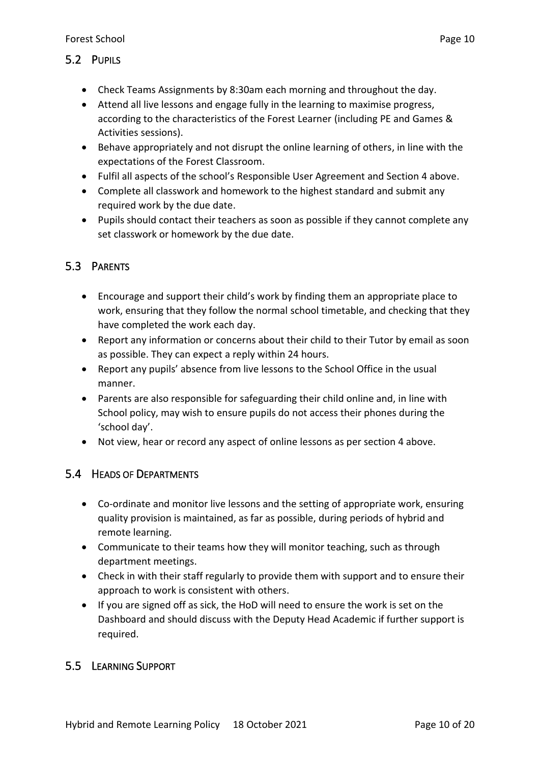### <span id="page-9-0"></span>5.2 PUPILS

- Check Teams Assignments by 8:30am each morning and throughout the day.
- Attend all live lessons and engage fully in the learning to maximise progress, according to the characteristics of the Forest Learner (including PE and Games & Activities sessions).
- Behave appropriately and not disrupt the online learning of others, in line with the expectations of the Forest Classroom.
- Fulfil all aspects of the school's Responsible User Agreement and Section 4 above.
- Complete all classwork and homework to the highest standard and submit any required work by the due date.
- Pupils should contact their teachers as soon as possible if they cannot complete any set classwork or homework by the due date.

### <span id="page-9-1"></span>5.3 PARENTS

- Encourage and support their child's work by finding them an appropriate place to work, ensuring that they follow the normal school timetable, and checking that they have completed the work each day.
- Report any information or concerns about their child to their Tutor by email as soon as possible. They can expect a reply within 24 hours.
- Report any pupils' absence from live lessons to the School Office in the usual manner.
- Parents are also responsible for safeguarding their child online and, in line with School policy, may wish to ensure pupils do not access their phones during the 'school day'.
- Not view, hear or record any aspect of online lessons as per section 4 above.

### <span id="page-9-2"></span>5.4 HEADS OF DEPARTMENTS

- Co-ordinate and monitor live lessons and the setting of appropriate work, ensuring quality provision is maintained, as far as possible, during periods of hybrid and remote learning.
- Communicate to their teams how they will monitor teaching, such as through department meetings.
- Check in with their staff regularly to provide them with support and to ensure their approach to work is consistent with others.
- If you are signed off as sick, the HoD will need to ensure the work is set on the Dashboard and should discuss with the Deputy Head Academic if further support is required.

### <span id="page-9-3"></span>5.5 LEARNING SUPPORT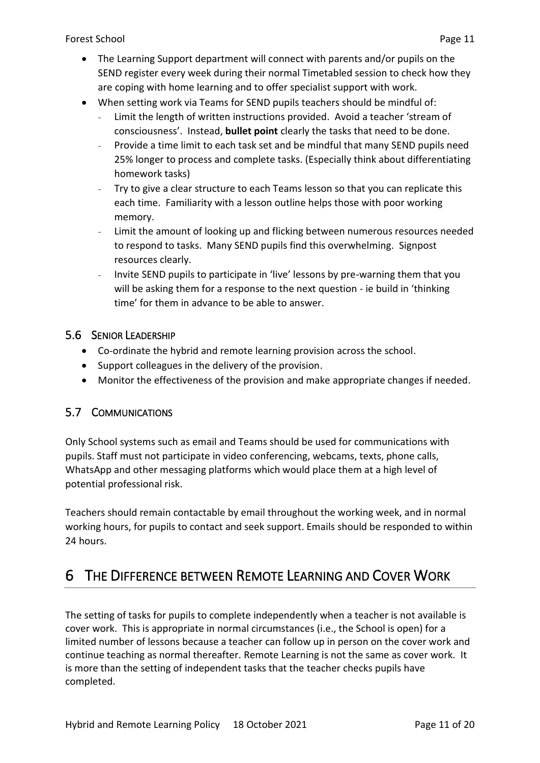- The Learning Support department will connect with parents and/or pupils on the SEND register every week during their normal Timetabled session to check how they are coping with home learning and to offer specialist support with work.
- When setting work via Teams for SEND pupils teachers should be mindful of:
	- Limit the length of written instructions provided. Avoid a teacher 'stream of consciousness'. Instead, **bullet point** clearly the tasks that need to be done.
	- Provide a time limit to each task set and be mindful that many SEND pupils need 25% longer to process and complete tasks. (Especially think about differentiating homework tasks)
	- Try to give a clear structure to each Teams lesson so that you can replicate this each time. Familiarity with a lesson outline helps those with poor working memory.
	- Limit the amount of looking up and flicking between numerous resources needed to respond to tasks. Many SEND pupils find this overwhelming. Signpost resources clearly.
	- Invite SEND pupils to participate in 'live' lessons by pre-warning them that you will be asking them for a response to the next question - ie build in 'thinking time' for them in advance to be able to answer.

### <span id="page-10-0"></span>5.6 SENIOR LEADERSHIP

- Co-ordinate the hybrid and remote learning provision across the school.
- Support colleagues in the delivery of the provision.
- Monitor the effectiveness of the provision and make appropriate changes if needed.

### <span id="page-10-1"></span>5.7 COMMUNICATIONS

Only School systems such as email and Teams should be used for communications with pupils. Staff must not participate in video conferencing, webcams, texts, phone calls, WhatsApp and other messaging platforms which would place them at a high level of potential professional risk.

Teachers should remain contactable by email throughout the working week, and in normal working hours, for pupils to contact and seek support. Emails should be responded to within 24 hours.

### <span id="page-10-2"></span>6 THE DIFFERENCE BETWEEN REMOTE LEARNING AND COVER WORK

The setting of tasks for pupils to complete independently when a teacher is not available is cover work. This is appropriate in normal circumstances (i.e., the School is open) for a limited number of lessons because a teacher can follow up in person on the cover work and continue teaching as normal thereafter. Remote Learning is not the same as cover work. It is more than the setting of independent tasks that the teacher checks pupils have completed.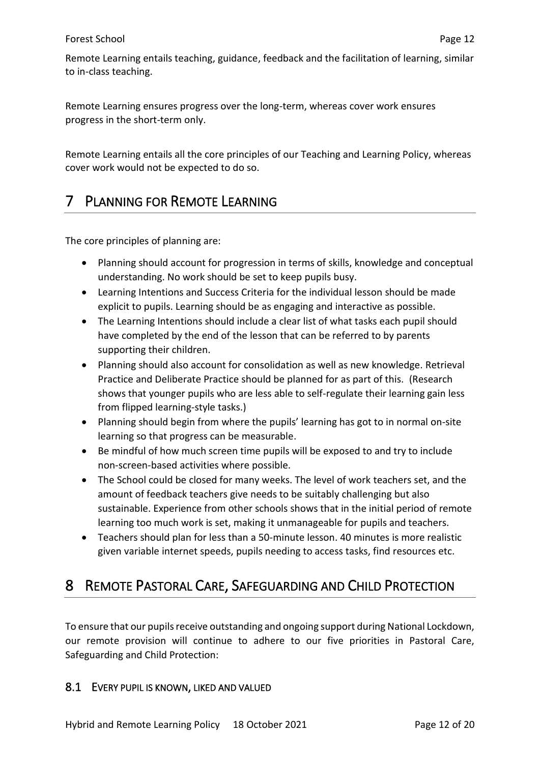Remote Learning entails teaching, guidance, feedback and the facilitation of learning, similar to in-class teaching.

Remote Learning ensures progress over the long-term, whereas cover work ensures progress in the short-term only.

Remote Learning entails all the core principles of our Teaching and Learning Policy, whereas cover work would not be expected to do so.

# <span id="page-11-0"></span>7 PLANNING FOR REMOTE LEARNING

The core principles of planning are:

- Planning should account for progression in terms of skills, knowledge and conceptual understanding. No work should be set to keep pupils busy.
- Learning Intentions and Success Criteria for the individual lesson should be made explicit to pupils. Learning should be as engaging and interactive as possible.
- The Learning Intentions should include a clear list of what tasks each pupil should have completed by the end of the lesson that can be referred to by parents supporting their children.
- Planning should also account for consolidation as well as new knowledge. Retrieval Practice and Deliberate Practice should be planned for as part of this. (Research shows that younger pupils who are less able to self-regulate their learning gain less from flipped learning-style tasks.)
- Planning should begin from where the pupils' learning has got to in normal on-site learning so that progress can be measurable.
- Be mindful of how much screen time pupils will be exposed to and try to include non-screen-based activities where possible.
- The School could be closed for many weeks. The level of work teachers set, and the amount of feedback teachers give needs to be suitably challenging but also sustainable. Experience from other schools shows that in the initial period of remote learning too much work is set, making it unmanageable for pupils and teachers.
- Teachers should plan for less than a 50-minute lesson. 40 minutes is more realistic given variable internet speeds, pupils needing to access tasks, find resources etc.

# <span id="page-11-1"></span>8 REMOTE PASTORAL CARE, SAFEGUARDING AND CHILD PROTECTION

To ensure that our pupils receive outstanding and ongoing support during National Lockdown, our remote provision will continue to adhere to our five priorities in Pastoral Care, Safeguarding and Child Protection:

### <span id="page-11-2"></span>8.1 EVERY PUPIL IS KNOWN, LIKED AND VALUED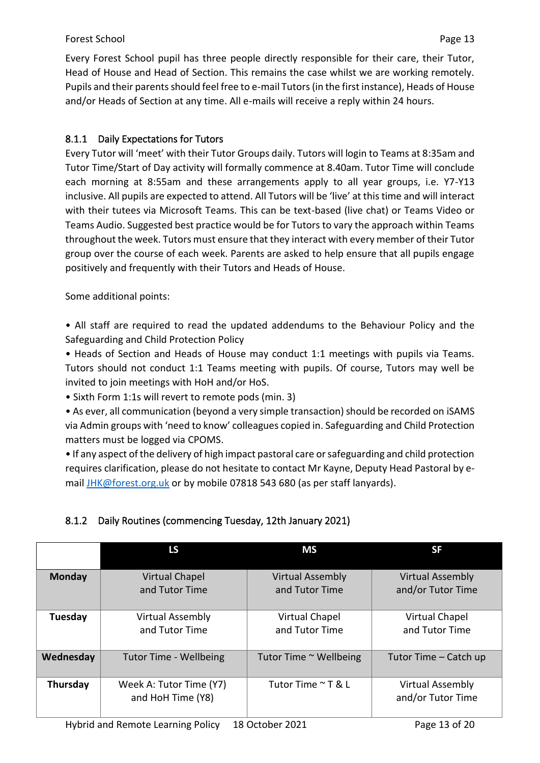### Forest School **Page 13**

Every Forest School pupil has three people directly responsible for their care, their Tutor, Head of House and Head of Section. This remains the case whilst we are working remotely. Pupils and their parents should feel free to e-mail Tutors (in the first instance), Heads of House and/or Heads of Section at any time. All e-mails will receive a reply within 24 hours.

### <span id="page-12-0"></span>8.1.1 Daily Expectations for Tutors

Every Tutor will 'meet' with their Tutor Groups daily. Tutors will login to Teams at 8:35am and Tutor Time/Start of Day activity will formally commence at 8.40am. Tutor Time will conclude each morning at 8:55am and these arrangements apply to all year groups, i.e. Y7-Y13 inclusive. All pupils are expected to attend. All Tutors will be 'live' at this time and will interact with their tutees via Microsoft Teams. This can be text-based (live chat) or Teams Video or Teams Audio. Suggested best practice would be for Tutors to vary the approach within Teams throughout the week. Tutors must ensure that they interact with every member of their Tutor group over the course of each week. Parents are asked to help ensure that all pupils engage positively and frequently with their Tutors and Heads of House.

Some additional points:

• All staff are required to read the updated addendums to the Behaviour Policy and the Safeguarding and Child Protection Policy

• Heads of Section and Heads of House may conduct 1:1 meetings with pupils via Teams. Tutors should not conduct 1:1 Teams meeting with pupils. Of course, Tutors may well be invited to join meetings with HoH and/or HoS.

• Sixth Form 1:1s will revert to remote pods (min. 3)

• As ever, all communication (beyond a very simple transaction) should be recorded on iSAMS via Admin groups with 'need to know' colleagues copied in. Safeguarding and Child Protection matters must be logged via CPOMS.

• If any aspect of the delivery of high impact pastoral care or safeguarding and child protection requires clarification, please do not hesitate to contact Mr Kayne, Deputy Head Pastoral by email [JHK@forest.org.uk](mailto:JHK@forest.org.uk) or by mobile 07818 543 680 (as per staff lanyards).

<span id="page-12-1"></span>

|  |  | 8.1.2 Daily Routines (commencing Tuesday, 12th January 2021) |  |  |  |
|--|--|--------------------------------------------------------------|--|--|--|
|--|--|--------------------------------------------------------------|--|--|--|

|               | LS                                           | <b>MS</b>                                 | <b>SF</b>                                    |
|---------------|----------------------------------------------|-------------------------------------------|----------------------------------------------|
| <b>Monday</b> | <b>Virtual Chapel</b><br>and Tutor Time      | <b>Virtual Assembly</b><br>and Tutor Time | <b>Virtual Assembly</b><br>and/or Tutor Time |
| Tuesday       | <b>Virtual Assembly</b><br>and Tutor Time    | Virtual Chapel<br>and Tutor Time          | Virtual Chapel<br>and Tutor Time             |
| Wednesday     | <b>Tutor Time - Wellbeing</b>                | Tutor Time ~ Wellbeing                    | Tutor Time – Catch up                        |
| Thursday      | Week A: Tutor Time (Y7)<br>and HoH Time (Y8) | Tutor Time ∼ T & L                        | <b>Virtual Assembly</b><br>and/or Tutor Time |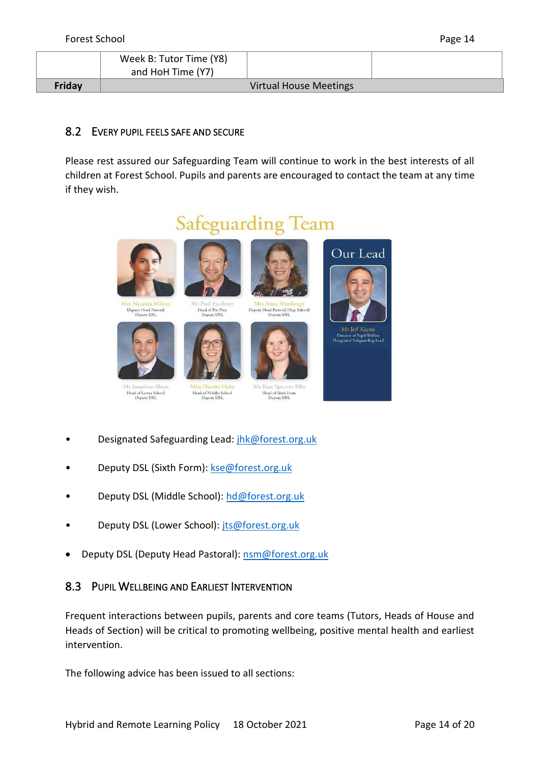|               | Week B: Tutor Time (Y8)<br>and HoH Time (Y7) |                               |  |
|---------------|----------------------------------------------|-------------------------------|--|
| <b>Friday</b> |                                              | <b>Virtual House Meetings</b> |  |

### <span id="page-13-0"></span>8.2 EVERY PUPIL FEELS SAFE AND SECURE

Please rest assured our Safeguarding Team will continue to work in the best interests of all children at Forest School. Pupils and parents are encouraged to contact the team at any time if they wish.



- Designated Safeguarding Lead: [jhk@forest.org.uk](mailto:jhk@forest.org.uk)
- Deputy DSL (Sixth Form): [kse@forest.org.uk](mailto:hd@forest.org.uk)
- Deputy DSL (Middle School): [hd@forest.org.uk](mailto:hd@forest.org.uk)
- Deputy DSL (Lower School): [jts@forest.org.uk](mailto:jts@forest.org.uk)
- <span id="page-13-1"></span>• Deputy DSL (Deputy Head Pastoral): [nsm@forest.org.uk](mailto:nsm@forest.org.uk)

### 8.3 PUPIL WELLBEING AND EARLIEST INTERVENTION

Frequent interactions between pupils, parents and core teams (Tutors, Heads of House and Heads of Section) will be critical to promoting wellbeing, positive mental health and earliest intervention.

The following advice has been issued to all sections: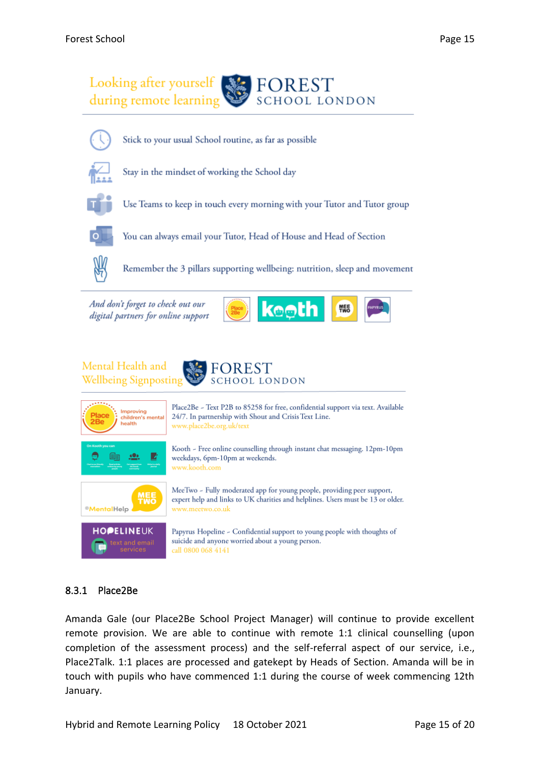



Stick to your usual School routine, as far as possible



Stay in the mindset of working the School day



Use Teams to keep in touch every morning with your Tutor and Tutor group



You can always email your Tutor, Head of House and Head of Section



Remember the 3 pillars supporting wellbeing: nutrition, sleep and movement

keeth

And don't forget to check out our digital partners for online support





### <span id="page-14-0"></span>8.3.1 Place2Be

Amanda Gale (our Place2Be School Project Manager) will continue to provide excellent remote provision. We are able to continue with remote 1:1 clinical counselling (upon completion of the assessment process) and the self-referral aspect of our service, i.e., Place2Talk. 1:1 places are processed and gatekept by Heads of Section. Amanda will be in touch with pupils who have commenced 1:1 during the course of week commencing 12th January.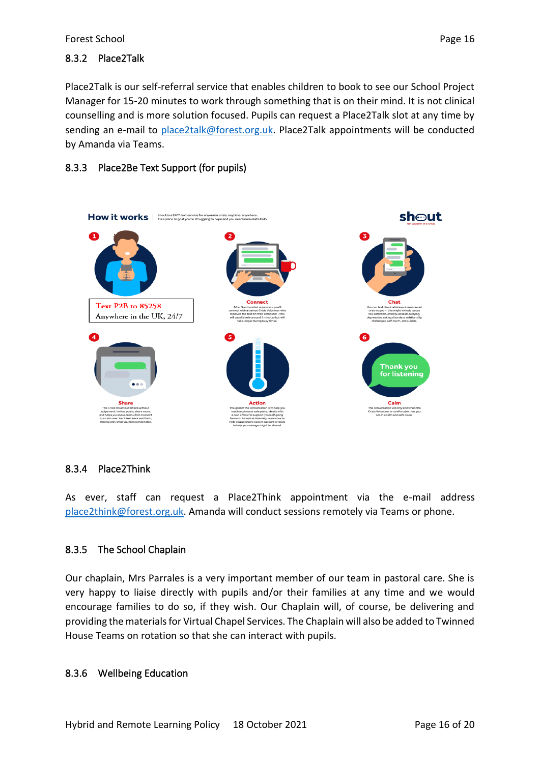### <span id="page-15-0"></span>8.3.2 Place2Talk

Place2Talk is our self-referral service that enables children to book to see our School Project Manager for 15-20 minutes to work through something that is on their mind. It is not clinical counselling and is more solution focused. Pupils can request a Place2Talk slot at any time by sending an e-mail to [place2talk@forest.org.uk.](mailto:place2talk@forest.org.uk) Place2Talk appointments will be conducted by Amanda via Teams.

### <span id="page-15-1"></span>8.3.3 Place2Be Text Support (for pupils)



### <span id="page-15-2"></span>8.3.4 Place2Think

As ever, staff can request a Place2Think appointment via the e-mail address [place2think@forest.org.uk.](mailto:place2think@forest.org.uk) Amanda will conduct sessions remotely via Teams or phone.

### <span id="page-15-3"></span>8.3.5 The School Chaplain

Our chaplain, Mrs Parrales is a very important member of our team in pastoral care. She is very happy to liaise directly with pupils and/or their families at any time and we would encourage families to do so, if they wish. Our Chaplain will, of course, be delivering and providing the materials for Virtual Chapel Services. The Chaplain will also be added to Twinned House Teams on rotation so that she can interact with pupils.

### <span id="page-15-4"></span>8.3.6 Wellbeing Education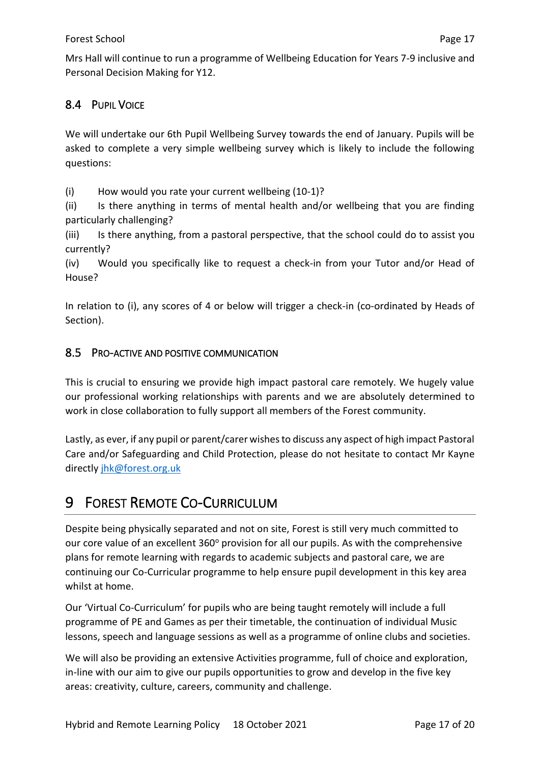Mrs Hall will continue to run a programme of Wellbeing Education for Years 7-9 inclusive and Personal Decision Making for Y12.

### <span id="page-16-0"></span>8.4 PUPIL VOICE

We will undertake our 6th Pupil Wellbeing Survey towards the end of January. Pupils will be asked to complete a very simple wellbeing survey which is likely to include the following questions:

(i) How would you rate your current wellbeing (10-1)?

(ii) Is there anything in terms of mental health and/or wellbeing that you are finding particularly challenging?

(iii) Is there anything, from a pastoral perspective, that the school could do to assist you currently?

(iv) Would you specifically like to request a check-in from your Tutor and/or Head of House?

In relation to (i), any scores of 4 or below will trigger a check-in (co-ordinated by Heads of Section).

### <span id="page-16-1"></span>8.5 PRO-ACTIVE AND POSITIVE COMMUNICATION

This is crucial to ensuring we provide high impact pastoral care remotely. We hugely value our professional working relationships with parents and we are absolutely determined to work in close collaboration to fully support all members of the Forest community.

Lastly, as ever, if any pupil or parent/carer wishes to discuss any aspect of high impact Pastoral Care and/or Safeguarding and Child Protection, please do not hesitate to contact Mr Kayne directly [jhk@forest.org.uk](mailto:jhk@forest.org.uk)

### <span id="page-16-2"></span>9 FOREST REMOTE CO-CURRICULUM

Despite being physically separated and not on site, Forest is still very much committed to our core value of an excellent 360° provision for all our pupils. As with the comprehensive plans for remote learning with regards to academic subjects and pastoral care, we are continuing our Co-Curricular programme to help ensure pupil development in this key area whilst at home.

Our 'Virtual Co-Curriculum' for pupils who are being taught remotely will include a full programme of PE and Games as per their timetable, the continuation of individual Music lessons, speech and language sessions as well as a programme of online clubs and societies.

We will also be providing an extensive Activities programme, full of choice and exploration, in-line with our aim to give our pupils opportunities to grow and develop in the five key areas: creativity, culture, careers, community and challenge.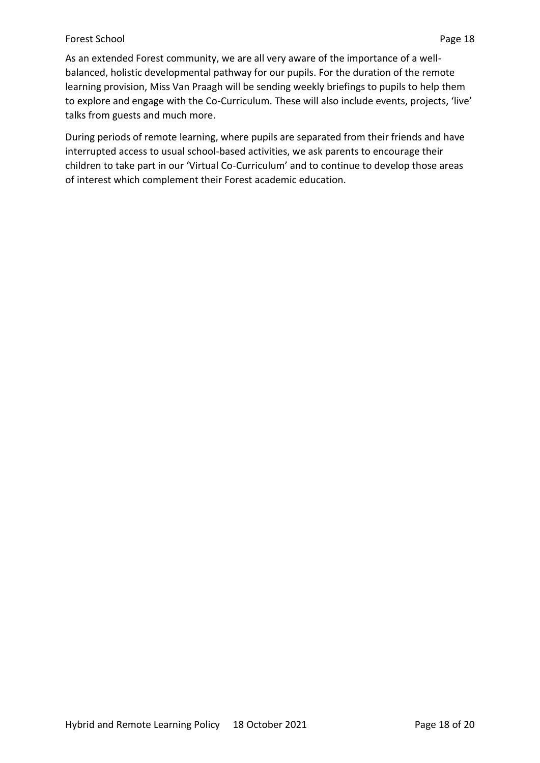#### Forest School Page 18

As an extended Forest community, we are all very aware of the importance of a wellbalanced, holistic developmental pathway for our pupils. For the duration of the remote learning provision, Miss Van Praagh will be sending weekly briefings to pupils to help them to explore and engage with the Co-Curriculum. These will also include events, projects, 'live' talks from guests and much more.

During periods of remote learning, where pupils are separated from their friends and have interrupted access to usual school-based activities, we ask parents to encourage their children to take part in our 'Virtual Co-Curriculum' and to continue to develop those areas of interest which complement their Forest academic education.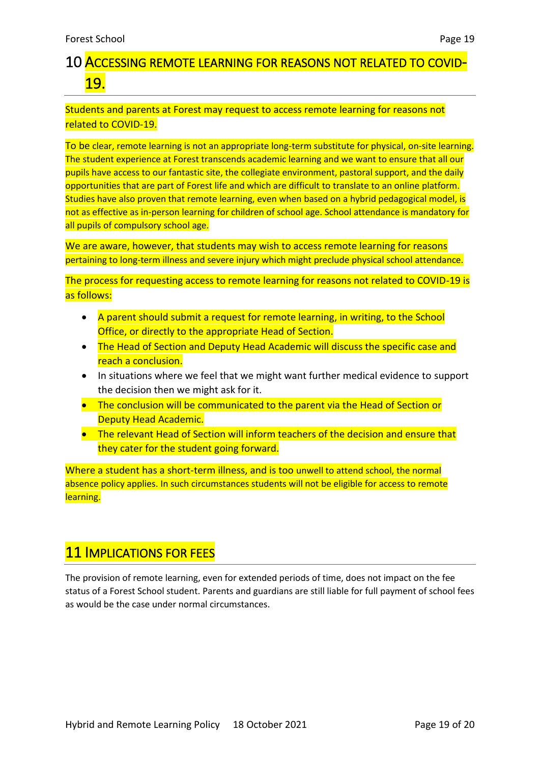# <span id="page-18-0"></span>10 ACCESSING REMOTE LEARNING FOR REASONS NOT RELATED TO COVID-19.

### Students and parents at Forest may request to access remote learning for reasons not related to COVID-19.

To be clear, remote learning is not an appropriate long-term substitute for physical, on-site learning. The student experience at Forest transcends academic learning and we want to ensure that all our pupils have access to our fantastic site, the collegiate environment, pastoral support, and the daily opportunities that are part of Forest life and which are difficult to translate to an online platform. Studies have also proven that remote learning, even when based on a hybrid pedagogical model, is not as effective as in-person learning for children of school age. School attendance is mandatory for all pupils of compulsory school age.

We are aware, however, that students may wish to access remote learning for reasons pertaining to long-term illness and severe injury which might preclude physical school attendance.

The process for requesting access to remote learning for reasons not related to COVID-19 is as follows:

- A parent should submit a request for remote learning, in writing, to the School Office, or directly to the appropriate Head of Section.
- The Head of Section and Deputy Head Academic will discuss the specific case and reach a conclusion.
- In situations where we feel that we might want further medical evidence to support the decision then we might ask for it.
- The conclusion will be communicated to the parent via the Head of Section or Deputy Head Academic.
- The relevant Head of Section will inform teachers of the decision and ensure that they cater for the student going forward.

Where a student has a short-term illness, and is too unwell to attend school, the normal absence policy applies. In such circumstances students will not be eligible for access to remote learning.

### **11 IMPLICATIONS FOR FEES**

The provision of remote learning, even for extended periods of time, does not impact on the fee status of a Forest School student. Parents and guardians are still liable for full payment of school fees as would be the case under normal circumstances.